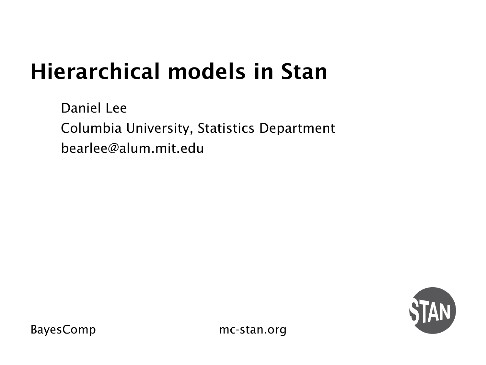### Hierarchical models in Stan

Daniel Lee Columbia University, Statistics Department bearlee@alum.mit.edu

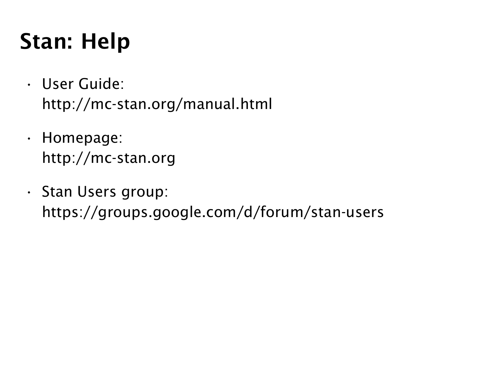### Stan: Help

- User Guide: http://mc-stan.org/manual.html
- Homepage: http://mc-stan.org
- Stan Users group: https://groups.google.com/d/forum/stan-users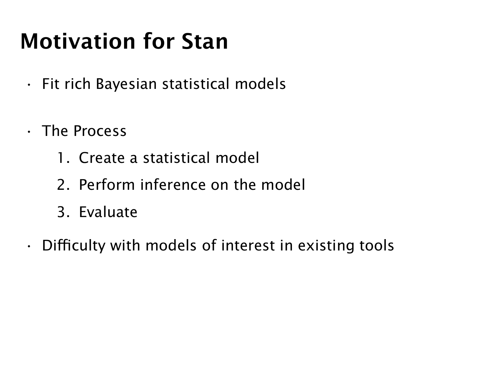## Motivation for Stan

- Fit rich Bayesian statistical models
- The Process
	- 1. Create a statistical model
	- 2. Perform inference on the model
	- 3. Evaluate
- Difficulty with models of interest in existing tools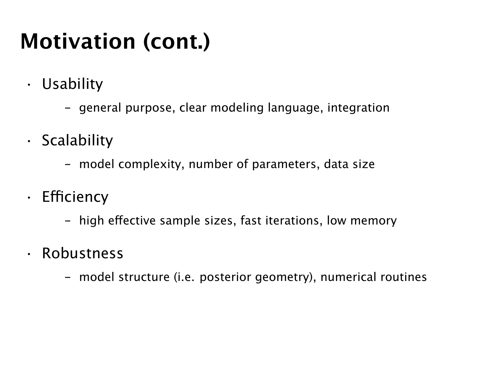## Motivation (cont.)

- Usability
	- general purpose, clear modeling language, integration
- Scalability
	- model complexity, number of parameters, data size
- Efficiency
	- high effective sample sizes, fast iterations, low memory
- Robustness
	- model structure (i.e. posterior geometry), numerical routines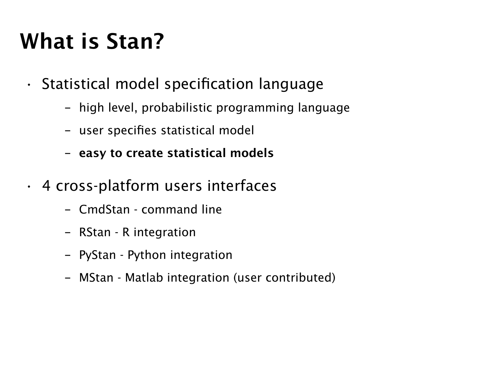## What is Stan?

- Statistical model specification language
	- high level, probabilistic programming language
	- user specifies statistical model
	- easy to create statistical models
- 4 cross-platform users interfaces
	- CmdStan command line
	- RStan R integration
	- PyStan Python integration
	- MStan Matlab integration (user contributed)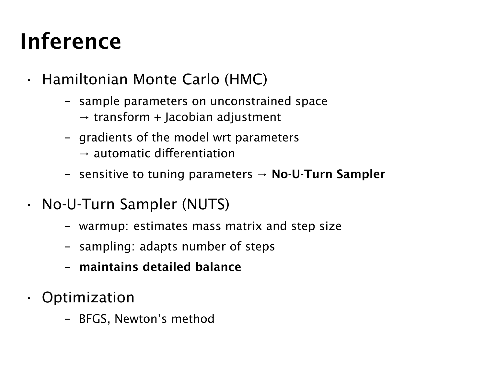## Inference

- Hamiltonian Monte Carlo (HMC)
	- sample parameters on unconstrained space
		- $\rightarrow$  transform + Jacobian adjustment
	- gradients of the model wrt parameters  $\rightarrow$  automatic differentiation
	- sensitive to tuning parameters  $→$  No-U-Turn Sampler
- No-U-Turn Sampler (NUTS)
	- warmup: estimates mass matrix and step size
	- sampling: adapts number of steps
	- maintains detailed balance
- Optimization
	- BFGS, Newton's method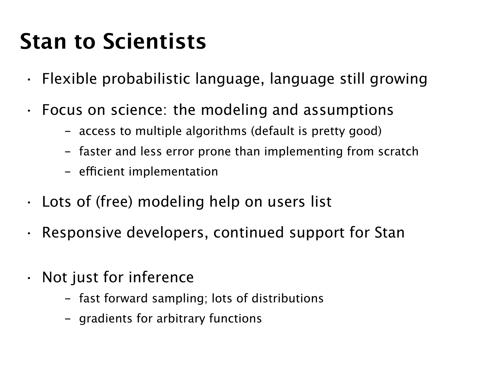### Stan to Scientists

- Flexible probabilistic language, language still growing
- Focus on science: the modeling and assumptions
	- access to multiple algorithms (default is pretty good)
	- faster and less error prone than implementing from scratch
	- efficient implementation
- Lots of (free) modeling help on users list
- Responsive developers, continued support for Stan
- Not just for inference
	- fast forward sampling; lots of distributions
	- gradients for arbitrary functions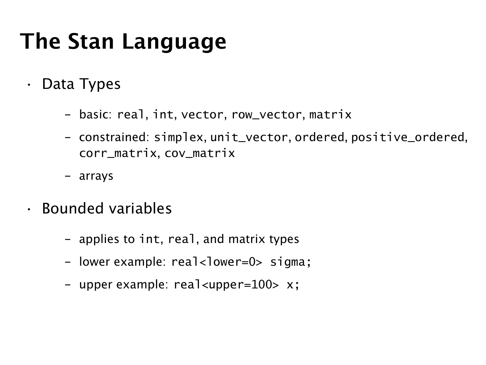### The Stan Language

- Data Types
	- basic: real, int, vector, row\_vector, matrix
	- constrained: simplex, unit\_vector, ordered, positive\_ordered, corr\_matrix, cov\_matrix
	- arrays
- Bounded variables
	- applies to int, real, and matrix types
	- lower example: real<lower=0> sigma;
	- upper example: real<upper=100> x;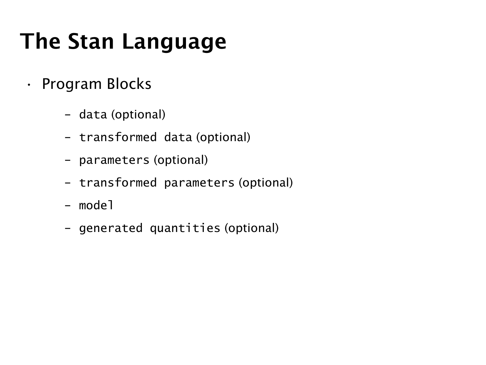## The Stan Language

- Program Blocks
	- data (optional)
	- transformed data (optional)
	- parameters (optional)
	- transformed parameters (optional)
	- model
	- generated quantities (optional)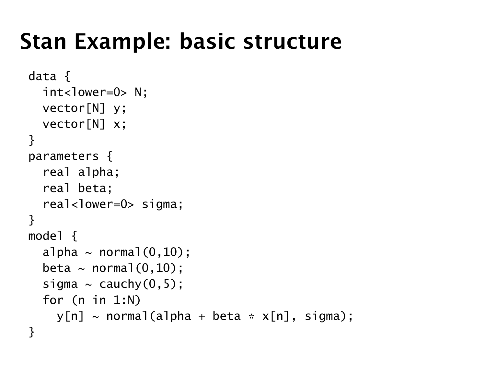### Stan Example: basic structure

```
data {
  int<lower=0> N:
  vector[N] y;
  vector[N] x;
}
parameters {
  real alpha;
  real beta;
  real<lower=0> sigma;
}
model {
  alpha \sim normal(0,10);
  beta \sim normal(0,10);
  sigma \sim cauchy(0,5);
  for (n in 1:N)
    y[n] \sim \text{normal}(a]pha + beta * x[n], sigma);
}
```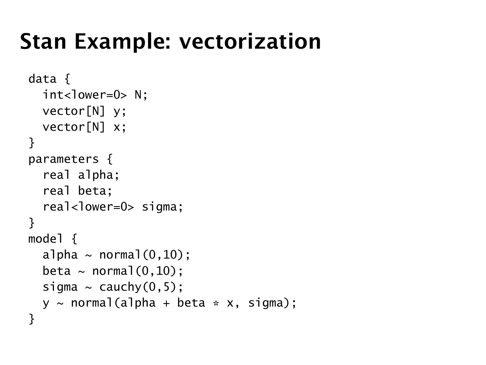### Stan Example: vectorization

```
data {
  int <lower=0> N:
  vector[N] y;
  vector[N] x;
}
parameters {
  real alpha;
  real beta;
  real<lower=0> sigma;
}
model {
  alpha \sim normal(0.10):
  beta \sim normal(0.10):
  sigma \sim cauchy(0,5);
  y \sim normal(alpha + beta * x, sigma);
}
```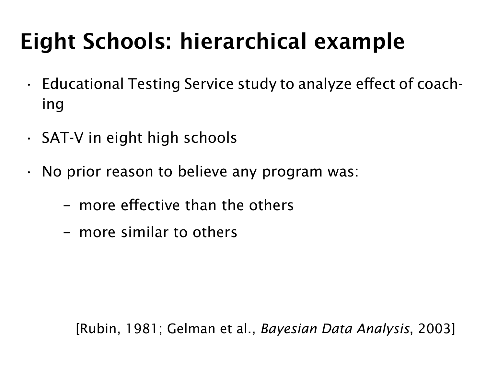# Eight Schools: hierarchical example

- Educational Testing Service study to analyze effect of coaching
- SAT-V in eight high schools
- No prior reason to believe any program was:
	- more effective than the others
	- more similar to others

[Rubin, 1981; Gelman et al., *Bayesian Data Analysis*, 2003]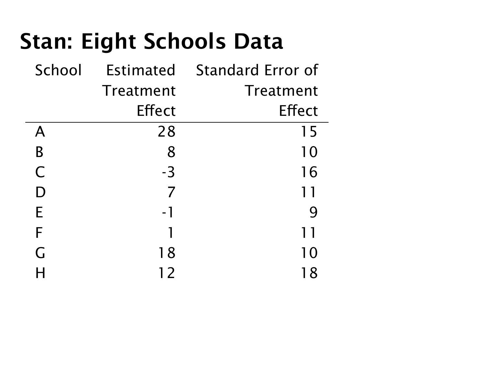### Stan: Eight Schools Data

| School | Estimated | Standard Error of |
|--------|-----------|-------------------|
|        | Treatment | Treatment         |
|        | Effect    | Effect            |
| А      | 28        | 15                |
| В      | 8         | 10                |
| C      | -3        | 16                |
| D      | 7         | 11                |
| E      | - 1       | 9                 |
| F      | 1         | 11                |
| G      | 18        | 10                |
|        | 12        | 18                |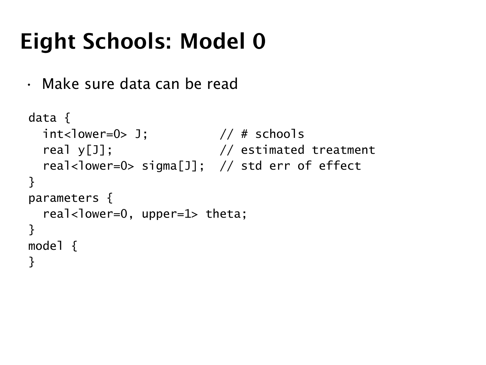### Eight Schools: Model 0

• Make sure data can be read

```
data {
 int <lower=0> J; // # schoolsreal y[J]; \frac{1}{2} // estimated treatment
 real<lower=0> sigma[J]; // std err of effect
}
parameters {
 real<lower=0, upper=1> theta;
}
model {
}
```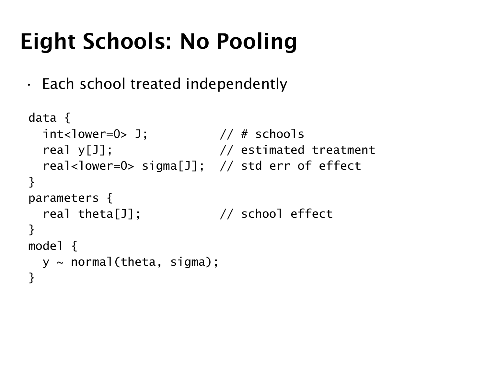## Eight Schools: No Pooling

• Each school treated independently

```
data {
 int <lower=0> J; // # schoolsreal y[J]; \frac{1}{2} // estimated treatment
 real<lower=0> sigma[J]; // std err of effect
}
parameters {
 real theta[J]; // school effect
}
model {
 y \sim normal(theta, sigma);
}
```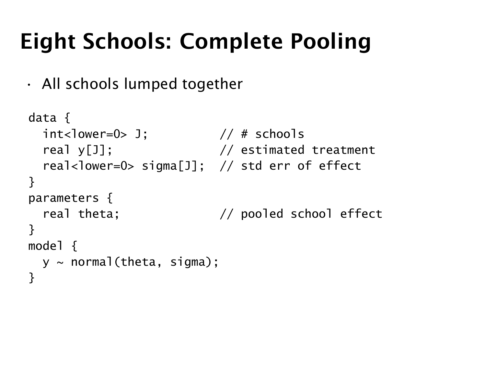## Eight Schools: Complete Pooling

• All schools lumped together

```
data {
 int <lower=0> J; // # schoolsreal y[J]; \frac{1}{2} // estimated treatment
 real<lower=0> sigma[J]; // std err of effect
}
parameters {
 real theta; \frac{1}{2} // pooled school effect
}
model {
 y \sim normal(theta, sigma);
}
```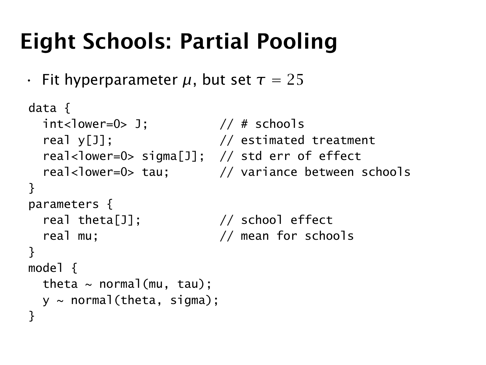### Eight Schools: Partial Pooling

• Fit hyperparameter *µ*, but set *τ* = 25

```
data {
 int <lower=0> J; // # schoolsreal y[J]; // estimated treatment
 real<lower=0> sigma[J]; // std err of effect
 real<lower=0> tau; \frac{1}{2} variance between schools
}
parameters {
 real theta[J]; // school effect
 real mu; // mean for schools
}
model {
 theta \sim normal(mu, tau);
 y \sim normal(theta, sigma);
}
```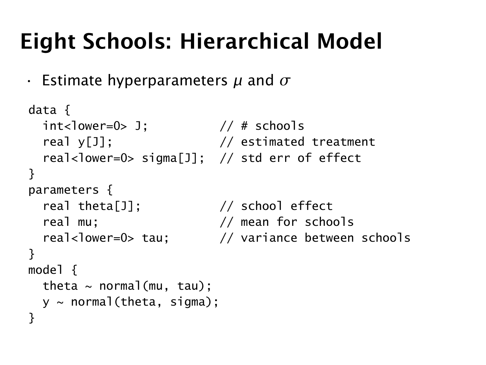## Eight Schools: Hierarchical Model

• Estimate hyperparameters *µ* and *σ*

```
data {
  int<lower=0> \frac{1}{1}; \frac{1}{1} // # schools
  real y[J]; \frac{1}{2} // estimated treatment
  real<lower=0> sigma[J]; // std err of effect
}
parameters {
  real theta[J]; // school effect
  real mu: \frac{1}{2} // mean for schools
  real<lower=0> tau; // variance between schools
}
model {
  theta \sim normal(mu, tau):
  y \sim normal(theta, sigma);
}
```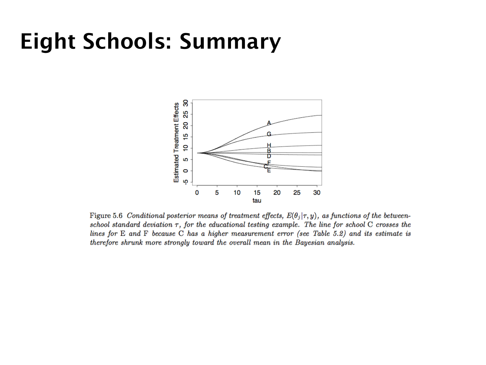#### Eight Schools: Summary



Figure 5.6 Conditional posterior means of treatment effects,  $E(\theta_j|\tau, y)$ , as functions of the betweenschool standard deviation  $\tau$ , for the educational testing example. The line for school C crosses the lines for  $E$  and  $F$  because  $C$  has a higher measurement error (see Table 5.2) and its estimate is therefore shrunk more strongly toward the overall mean in the Bayesian analysis.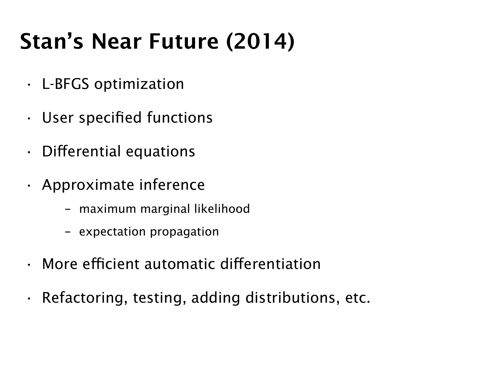## Stan's Near Future (2014)

- L-BFGS optimization
- User specified functions
- Differential equations
- Approximate inference
	- maximum marginal likelihood
	- expectation propagation
- More efficient automatic differentiation
- Refactoring, testing, adding distributions, etc.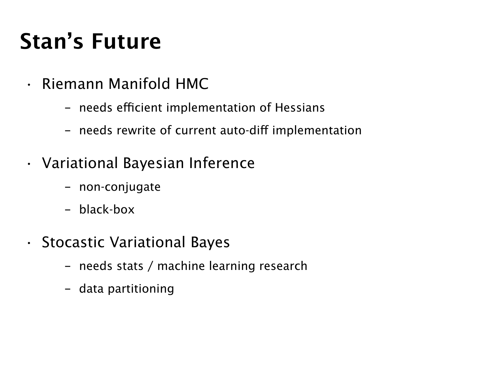### Stan's Future

- Riemann Manifold HMC
	- needs efficient implementation of Hessians
	- needs rewrite of current auto-diff implementation
- Variational Bayesian Inference
	- non-conjugate
	- black-box
- Stocastic Variational Bayes
	- needs stats / machine learning research
	- data partitioning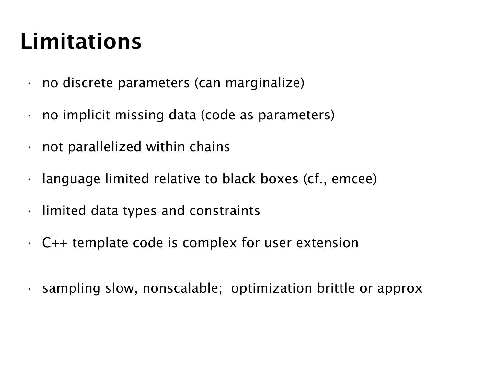## Limitations

- no discrete parameters (can marginalize)
- $\cdot$  no implicit missing data (code as parameters)
- not parallelized within chains
- $\cdot$  language limited relative to black boxes (cf., emcee)
- limited data types and constraints
- C++ template code is complex for user extension
- sampling slow, nonscalable; optimization brittle or approx